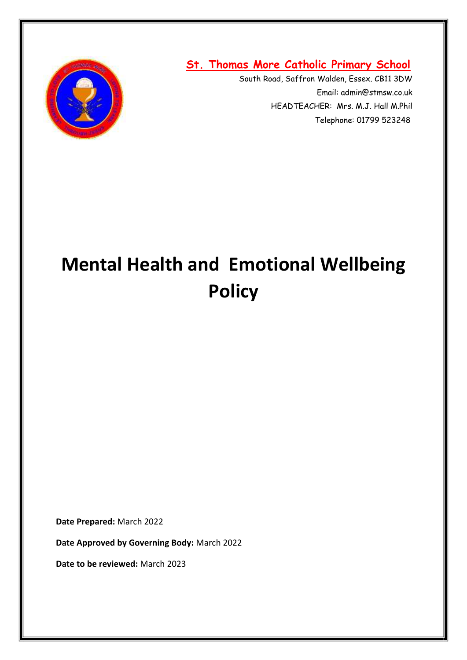

**St. Thomas More Catholic Primary School**

South Road, Saffron Walden, Essex. CB11 3DW Email: admin@stmsw.co.uk HEADTEACHER: Mrs. M.J. Hall M.Phil Telephone: 01799 523248

# **Mental Health and Emotional Wellbeing Policy**

**Date Prepared:** March 2022

**Date Approved by Governing Body:** March 2022

**Date to be reviewed:** March 2023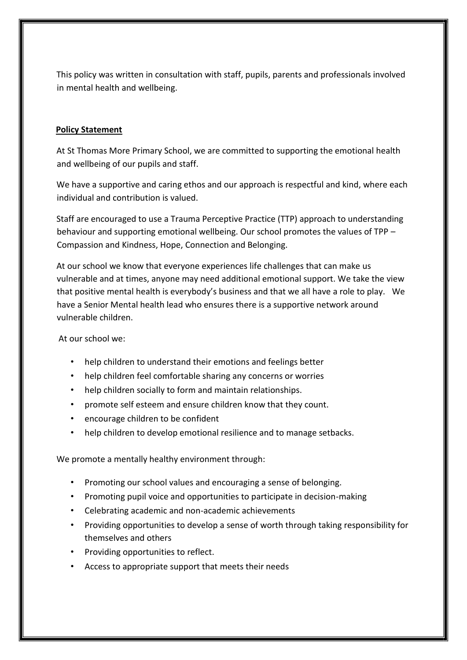This policy was written in consultation with staff, pupils, parents and professionals involved in mental health and wellbeing.

#### **Policy Statement**

At St Thomas More Primary School, we are committed to supporting the emotional health and wellbeing of our pupils and staff.

We have a supportive and caring ethos and our approach is respectful and kind, where each individual and contribution is valued.

Staff are encouraged to use a Trauma Perceptive Practice (TTP) approach to understanding behaviour and supporting emotional wellbeing. Our school promotes the values of TPP – Compassion and Kindness, Hope, Connection and Belonging.

At our school we know that everyone experiences life challenges that can make us vulnerable and at times, anyone may need additional emotional support. We take the view that positive mental health is everybody's business and that we all have a role to play. We have a Senior Mental health lead who ensures there is a supportive network around vulnerable children.

At our school we:

- help children to understand their emotions and feelings better
- help children feel comfortable sharing any concerns or worries
- help children socially to form and maintain relationships.
- promote self esteem and ensure children know that they count.
- encourage children to be confident
- help children to develop emotional resilience and to manage setbacks.

We promote a mentally healthy environment through:

- Promoting our school values and encouraging a sense of belonging.
- Promoting pupil voice and opportunities to participate in decision-making
- Celebrating academic and non-academic achievements
- Providing opportunities to develop a sense of worth through taking responsibility for themselves and others
- Providing opportunities to reflect.
- Access to appropriate support that meets their needs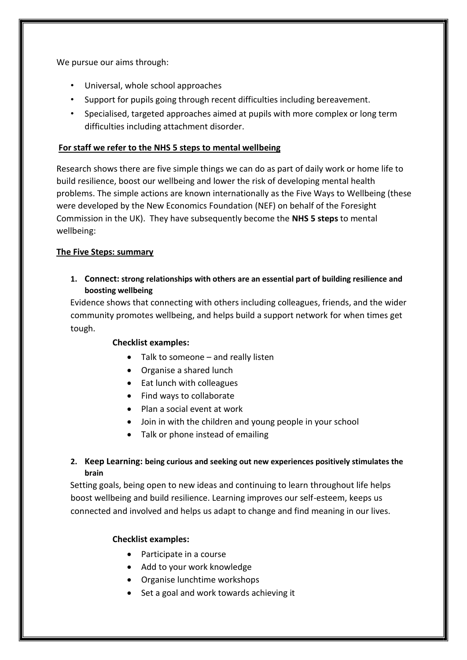We pursue our aims through:

- Universal, whole school approaches
- Support for pupils going through recent difficulties including bereavement.
- Specialised, targeted approaches aimed at pupils with more complex or long term difficulties including attachment disorder.

#### **For staff we refer to the NHS 5 steps to mental wellbeing**

Research shows there are five simple things we can do as part of daily work or home life to build resilience, boost our wellbeing and lower the risk of developing mental health problems. The simple actions are known internationally as the Five Ways to Wellbeing (these were developed by the New Economics Foundation (NEF) on behalf of the Foresight Commission in the UK). They have subsequently become the **NHS 5 steps** to mental wellbeing:

#### **The Five Steps: summary**

**1. Connect: strong relationships with others are an essential part of building resilience and boosting wellbeing**

Evidence shows that connecting with others including colleagues, friends, and the wider community promotes wellbeing, and helps build a support network for when times get tough.

#### **Checklist examples:**

- Talk to someone and really listen
- Organise a shared lunch
- Eat lunch with colleagues
- Find ways to collaborate
- Plan a social event at work
- Join in with the children and young people in your school
- Talk or phone instead of emailing

# **2. Keep Learning: being curious and seeking out new experiences positively stimulates the brain**

Setting goals, being open to new ideas and continuing to learn throughout life helps boost wellbeing and build resilience. Learning improves our self-esteem, keeps us connected and involved and helps us adapt to change and find meaning in our lives.

#### **Checklist examples:**

- Participate in a course
- Add to your work knowledge
- Organise lunchtime workshops
- Set a goal and work towards achieving it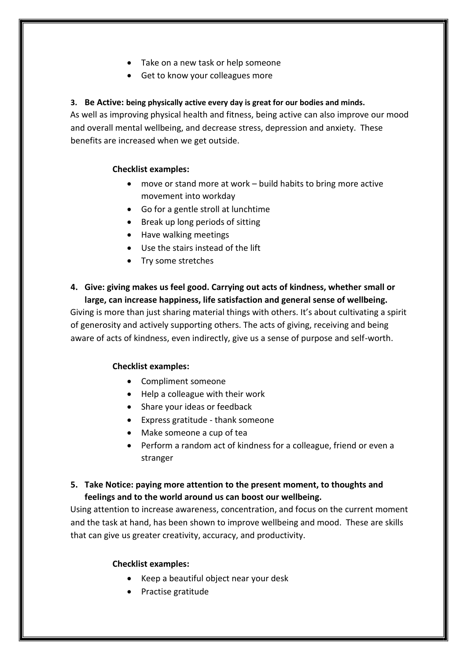- Take on a new task or help someone
- Get to know your colleagues more

# **3. Be Active: being physically active every day is great for our bodies and minds.**

As well as improving physical health and fitness, being active can also improve our mood and overall mental wellbeing, and decrease stress, depression and anxiety. These benefits are increased when we get outside.

# **Checklist examples:**

- move or stand more at work build habits to bring more active movement into workday
- Go for a gentle stroll at lunchtime
- Break up long periods of sitting
- Have walking meetings
- Use the stairs instead of the lift
- Try some stretches

# **4. Give: giving makes us feel good. Carrying out acts of kindness, whether small or large, can increase happiness, life satisfaction and general sense of wellbeing.**

Giving is more than just sharing material things with others. It's about cultivating a spirit of generosity and actively supporting others. The acts of giving, receiving and being aware of acts of kindness, even indirectly, give us a sense of purpose and self-worth.

## **Checklist examples:**

- Compliment someone
- Help a colleague with their work
- Share your ideas or feedback
- Express gratitude thank someone
- Make someone a cup of tea
- Perform a random act of kindness for a colleague, friend or even a stranger

# **5. Take Notice: paying more attention to the present moment, to thoughts and feelings and to the world around us can boost our wellbeing.**

Using attention to increase awareness, concentration, and focus on the current moment and the task at hand, has been shown to improve wellbeing and mood. These are skills that can give us greater creativity, accuracy, and productivity.

## **Checklist examples:**

- Keep a beautiful object near your desk
- Practise gratitude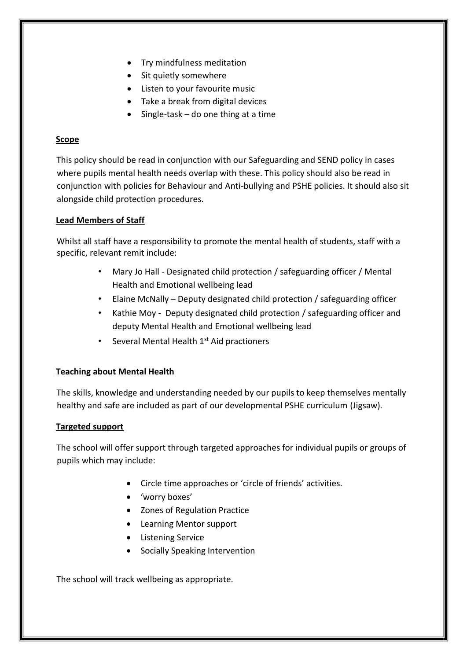- Try mindfulness meditation
- Sit quietly somewhere
- Listen to your favourite music
- Take a break from digital devices
- $\bullet$  Single-task do one thing at a time

#### **Scope**

This policy should be read in conjunction with our Safeguarding and SEND policy in cases where pupils mental health needs overlap with these. This policy should also be read in conjunction with policies for Behaviour and Anti-bullying and PSHE policies. It should also sit alongside child protection procedures.

## **Lead Members of Staff**

Whilst all staff have a responsibility to promote the mental health of students, staff with a specific, relevant remit include:

- Mary Jo Hall Designated child protection / safeguarding officer / Mental Health and Emotional wellbeing lead
- Elaine McNally Deputy designated child protection / safeguarding officer
- Kathie Moy Deputy designated child protection / safeguarding officer and deputy Mental Health and Emotional wellbeing lead
- Several Mental Health  $1<sup>st</sup>$  Aid practioners

## **Teaching about Mental Health**

The skills, knowledge and understanding needed by our pupils to keep themselves mentally healthy and safe are included as part of our developmental PSHE curriculum (Jigsaw).

## **Targeted support**

The school will offer support through targeted approaches for individual pupils or groups of pupils which may include:

- Circle time approaches or 'circle of friends' activities.
- 'worry boxes'
- Zones of Regulation Practice
- Learning Mentor support
- **•** Listening Service
- Socially Speaking Intervention

The school will track wellbeing as appropriate.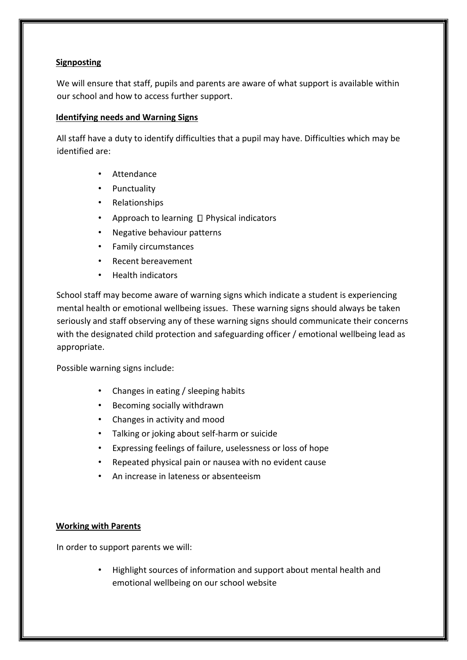#### **Signposting**

We will ensure that staff, pupils and parents are aware of what support is available within our school and how to access further support.

#### **Identifying needs and Warning Signs**

All staff have a duty to identify difficulties that a pupil may have. Difficulties which may be identified are:

- **Attendance**
- Punctuality
- Relationships
- Approach to learning  $\Box$  Physical indicators
- Negative behaviour patterns
- Family circumstances
- Recent bereavement
- Health indicators

School staff may become aware of warning signs which indicate a student is experiencing mental health or emotional wellbeing issues. These warning signs should always be taken seriously and staff observing any of these warning signs should communicate their concerns with the designated child protection and safeguarding officer / emotional wellbeing lead as appropriate.

Possible warning signs include:

- Changes in eating / sleeping habits
- Becoming socially withdrawn
- Changes in activity and mood
- Talking or joking about self-harm or suicide
- Expressing feelings of failure, uselessness or loss of hope
- Repeated physical pain or nausea with no evident cause
- An increase in lateness or absenteeism

#### **Working with Parents**

In order to support parents we will:

• Highlight sources of information and support about mental health and emotional wellbeing on our school website